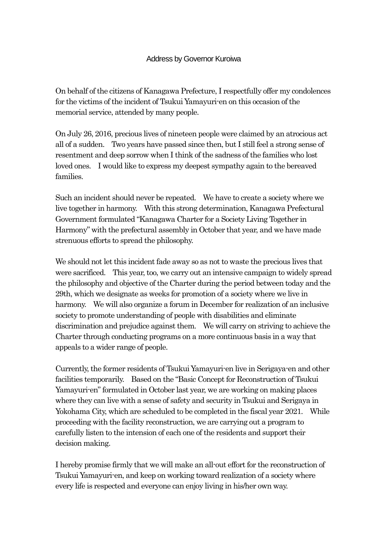On behalf of the citizens of Kanagawa Prefecture, I respectfully offer my condolences for the victims of the incident of Tsukui Yamayuri-en on this occasion of the memorial service, attended by many people.

On July 26, 2016, precious lives of nineteen people were claimed by an atrocious act all of a sudden. Two years have passed since then, but I still feel a strong sense of resentment and deep sorrow when I think of the sadness of the families who lost loved ones. I would like to express my deepest sympathy again to the bereaved families.

Such an incident should never be repeated. We have to create a society where we live together in harmony. With this strong determination, Kanagawa Prefectural Government formulated "Kanagawa Charter for a Society Living Together in Harmony" with the prefectural assembly in October that year, and we have made strenuous efforts to spread the philosophy.

We should not let this incident fade away so as not to waste the precious lives that were sacrificed. This year, too, we carry out an intensive campaign to widely spread the philosophy and objective of the Charter during the period between today and the 29th, which we designate as weeks for promotion of a society where we live in harmony. We will also organize a forum in December for realization of an inclusive society to promote understanding of people with disabilities and eliminate discrimination and prejudice against them. We will carry on striving to achieve the Charter through conducting programs on a more continuous basis in a way that appeals to a wider range of people.

Currently, the former residents of Tsukui Yamayuri-en live in Serigaya-en and other facilities temporarily. Based on the "Basic Concept for Reconstruction of Tsukui Yamayuri-en" formulated in October last year, we are working on making places where they can live with a sense of safety and security in Tsukui and Serigaya in Yokohama City, which are scheduled to be completed in the fiscal year 2021. While proceeding with the facility reconstruction, we are carrying out a program to carefully listen to the intension of each one of the residents and support their decision making.

I hereby promise firmly that we will make an all-out effort for the reconstruction of Tsukui Yamayuri-en, and keep on working toward realization of a society where every life is respected and everyone can enjoy living in his/her own way.